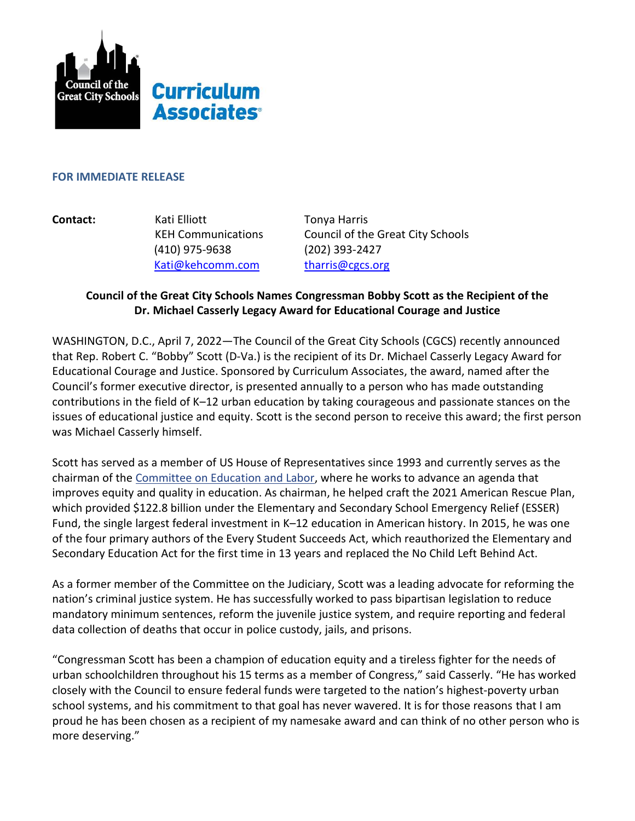

# **Curriculum Associates<sup>®</sup>**

#### **FOR IMMEDIATE RELEASE**

**Contact: Kati Elliott Tonya Harris**  (410) 975-9638 (202) 393-2427 [Kati@kehcomm.com](mailto:Kati@kehcomm.com) [tharris@cgcs.org](mailto:tharris@cgcs.org)

KEH Communications Council of the Great City Schools

# **Council of the Great City Schools Names Congressman Bobby Scott as the Recipient of the Dr. Michael Casserly Legacy Award for Educational Courage and Justice**

WASHINGTON, D.C., April 7, 2022—The Council of the Great City Schools (CGCS) recently announced that Rep. Robert C. "Bobby" Scott (D-Va.) is the recipient of its Dr. Michael Casserly Legacy Award for Educational Courage and Justice. Sponsored by Curriculum Associates, the award, named after the Council's former executive director, is presented annually to a person who has made outstanding contributions in the field of K–12 urban education by taking courageous and passionate stances on the issues of educational justice and equity. Scott is the second person to receive this award; the first person was Michael Casserly himself.

Scott has served as a member of US House of Representatives since 1993 and currently serves as the chairman of the [Committee on Education and Labor,](http://edlabor.house.gov/) where he works to advance an agenda that improves equity and quality in education. As chairman, he helped craft the 2021 American Rescue Plan, which provided \$122.8 billion under the Elementary and Secondary School Emergency Relief (ESSER) Fund, the single largest federal investment in K–12 education in American history. In 2015, he was one of the four primary authors of the Every Student Succeeds Act, which reauthorized the Elementary and Secondary Education Act for the first time in 13 years and replaced the No Child Left Behind Act.

As a former member of the Committee on the Judiciary, Scott was a leading advocate for reforming the nation's criminal justice system. He has successfully worked to pass bipartisan legislation to reduce mandatory minimum sentences, reform the juvenile justice system, and require reporting and federal data collection of deaths that occur in police custody, jails, and prisons.

"Congressman Scott has been a champion of education equity and a tireless fighter for the needs of urban schoolchildren throughout his 15 terms as a member of Congress," said Casserly. "He has worked closely with the Council to ensure federal funds were targeted to the nation's highest-poverty urban school systems, and his commitment to that goal has never wavered. It is for those reasons that I am proud he has been chosen as a recipient of my namesake award and can think of no other person who is more deserving."